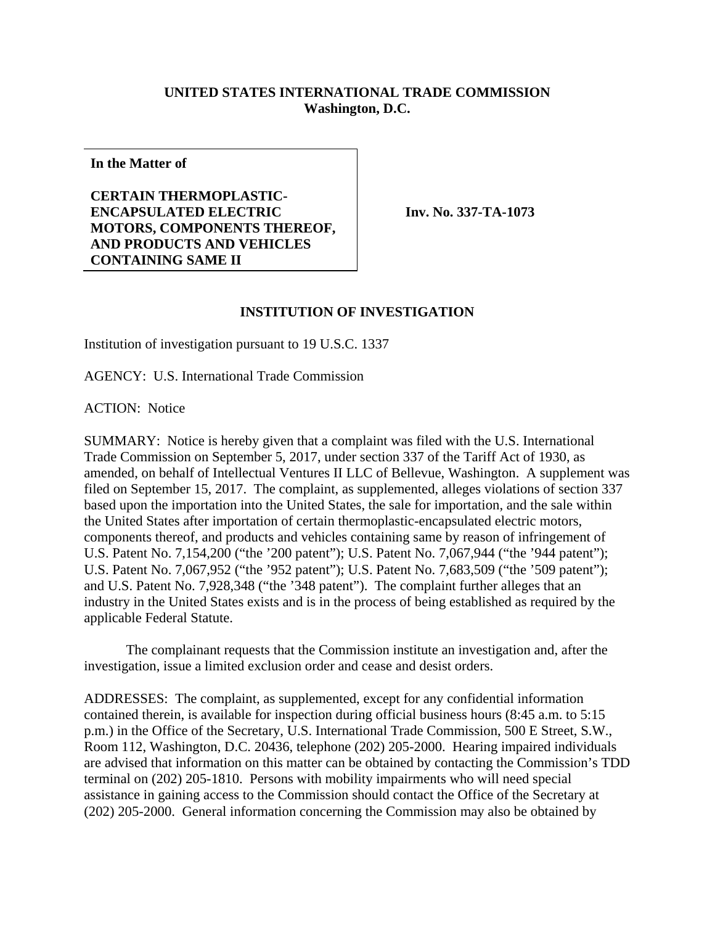## **UNITED STATES INTERNATIONAL TRADE COMMISSION Washington, D.C.**

**In the Matter of** 

## **CERTAIN THERMOPLASTIC-ENCAPSULATED ELECTRIC MOTORS, COMPONENTS THEREOF, AND PRODUCTS AND VEHICLES CONTAINING SAME II**

**Inv. No. 337-TA-1073**

## **INSTITUTION OF INVESTIGATION**

Institution of investigation pursuant to 19 U.S.C. 1337

AGENCY: U.S. International Trade Commission

ACTION: Notice

SUMMARY: Notice is hereby given that a complaint was filed with the U.S. International Trade Commission on September 5, 2017, under section 337 of the Tariff Act of 1930, as amended, on behalf of Intellectual Ventures II LLC of Bellevue, Washington. A supplement was filed on September 15, 2017. The complaint, as supplemented, alleges violations of section 337 based upon the importation into the United States, the sale for importation, and the sale within the United States after importation of certain thermoplastic-encapsulated electric motors, components thereof, and products and vehicles containing same by reason of infringement of U.S. Patent No. 7,154,200 ("the '200 patent"); U.S. Patent No. 7,067,944 ("the '944 patent"); U.S. Patent No. 7,067,952 ("the '952 patent"); U.S. Patent No. 7,683,509 ("the '509 patent"); and U.S. Patent No. 7,928,348 ("the '348 patent"). The complaint further alleges that an industry in the United States exists and is in the process of being established as required by the applicable Federal Statute.

 The complainant requests that the Commission institute an investigation and, after the investigation, issue a limited exclusion order and cease and desist orders.

ADDRESSES: The complaint, as supplemented, except for any confidential information contained therein, is available for inspection during official business hours (8:45 a.m. to 5:15 p.m.) in the Office of the Secretary, U.S. International Trade Commission, 500 E Street, S.W., Room 112, Washington, D.C. 20436, telephone (202) 205-2000. Hearing impaired individuals are advised that information on this matter can be obtained by contacting the Commission's TDD terminal on (202) 205-1810. Persons with mobility impairments who will need special assistance in gaining access to the Commission should contact the Office of the Secretary at (202) 205-2000. General information concerning the Commission may also be obtained by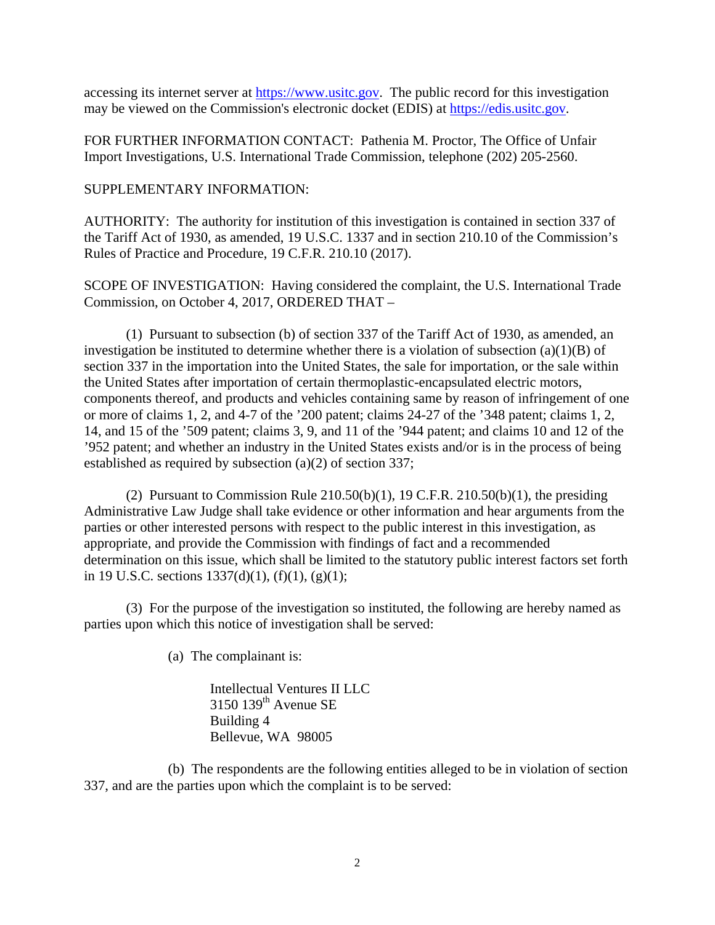accessing its internet server at https://www.usitc.gov. The public record for this investigation may be viewed on the Commission's electronic docket (EDIS) at https://edis.usitc.gov.

FOR FURTHER INFORMATION CONTACT: Pathenia M. Proctor, The Office of Unfair Import Investigations, U.S. International Trade Commission, telephone (202) 205-2560.

SUPPLEMENTARY INFORMATION:

AUTHORITY: The authority for institution of this investigation is contained in section 337 of the Tariff Act of 1930, as amended, 19 U.S.C. 1337 and in section 210.10 of the Commission's Rules of Practice and Procedure, 19 C.F.R. 210.10 (2017).

SCOPE OF INVESTIGATION: Having considered the complaint, the U.S. International Trade Commission, on October 4, 2017, ORDERED THAT –

 (1) Pursuant to subsection (b) of section 337 of the Tariff Act of 1930, as amended, an investigation be instituted to determine whether there is a violation of subsection  $(a)(1)(B)$  of section 337 in the importation into the United States, the sale for importation, or the sale within the United States after importation of certain thermoplastic-encapsulated electric motors, components thereof, and products and vehicles containing same by reason of infringement of one or more of claims 1, 2, and 4-7 of the '200 patent; claims 24-27 of the '348 patent; claims 1, 2, 14, and 15 of the '509 patent; claims 3, 9, and 11 of the '944 patent; and claims 10 and 12 of the '952 patent; and whether an industry in the United States exists and/or is in the process of being established as required by subsection (a)(2) of section 337;

(2) Pursuant to Commission Rule  $210.50(b)(1)$ , 19 C.F.R.  $210.50(b)(1)$ , the presiding Administrative Law Judge shall take evidence or other information and hear arguments from the parties or other interested persons with respect to the public interest in this investigation, as appropriate, and provide the Commission with findings of fact and a recommended determination on this issue, which shall be limited to the statutory public interest factors set forth in 19 U.S.C. sections  $1337(d)(1)$ ,  $(f)(1)$ ,  $(g)(1)$ ;

 (3) For the purpose of the investigation so instituted, the following are hereby named as parties upon which this notice of investigation shall be served:

(a) The complainant is:

Intellectual Ventures II LLC 3150 139<sup>th</sup> Avenue SE Building 4 Bellevue, WA 98005

 (b) The respondents are the following entities alleged to be in violation of section 337, and are the parties upon which the complaint is to be served: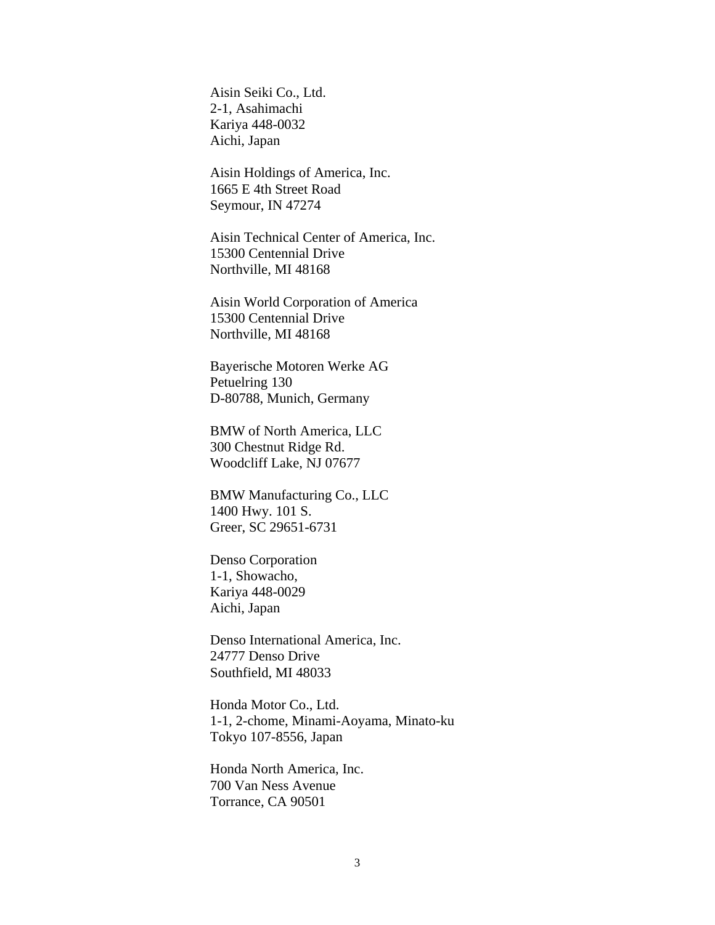Aisin Seiki Co., Ltd. 2-1, Asahimachi Kariya 448-0032 Aichi, Japan

Aisin Holdings of America, Inc. 1665 E 4th Street Road Seymour, IN 47274

Aisin Technical Center of America, Inc. 15300 Centennial Drive Northville, MI 48168

Aisin World Corporation of America 15300 Centennial Drive Northville, MI 48168

Bayerische Motoren Werke AG Petuelring 130 D-80788, Munich, Germany

BMW of North America, LLC 300 Chestnut Ridge Rd. Woodcliff Lake, NJ 07677

BMW Manufacturing Co., LLC 1400 Hwy. 101 S. Greer, SC 29651-6731

Denso Corporation 1-1, Showacho, Kariya 448-0029 Aichi, Japan

Denso International America, Inc. 24777 Denso Drive Southfield, MI 48033

Honda Motor Co., Ltd. 1-1, 2-chome, Minami-Aoyama, Minato-ku Tokyo 107-8556, Japan

Honda North America, Inc. 700 Van Ness Avenue Torrance, CA 90501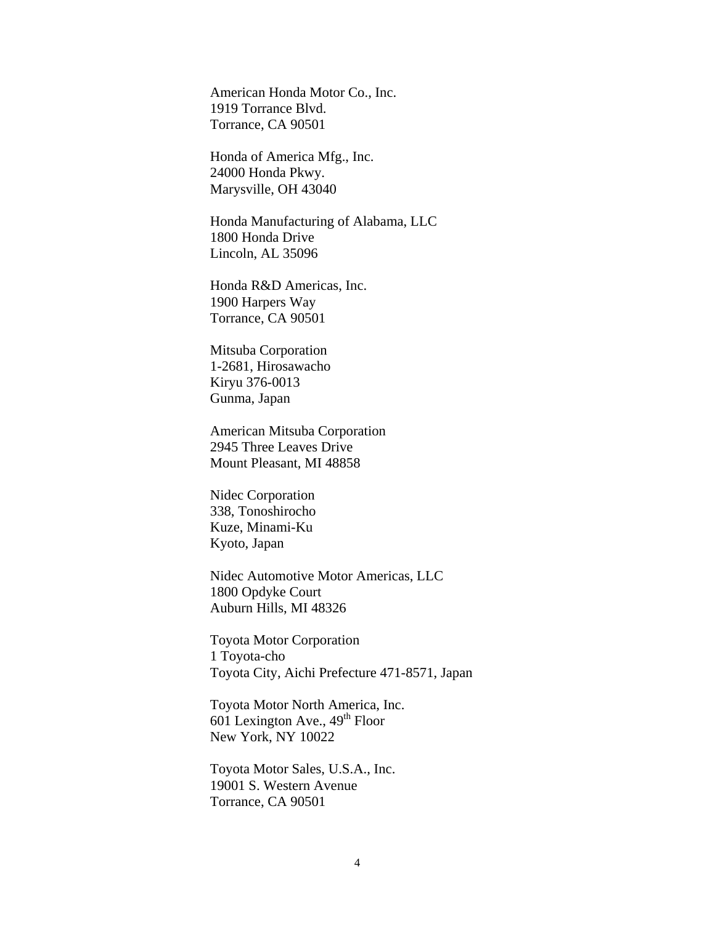American Honda Motor Co., Inc. 1919 Torrance Blvd. Torrance, CA 90501

Honda of America Mfg., Inc. 24000 Honda Pkwy. Marysville, OH 43040

Honda Manufacturing of Alabama, LLC 1800 Honda Drive Lincoln, AL 35096

Honda R&D Americas, Inc. 1900 Harpers Way Torrance, CA 90501

Mitsuba Corporation 1-2681, Hirosawacho Kiryu 376-0013 Gunma, Japan

American Mitsuba Corporation 2945 Three Leaves Drive Mount Pleasant, MI 48858

Nidec Corporation 338, Tonoshirocho Kuze, Minami-Ku Kyoto, Japan

Nidec Automotive Motor Americas, LLC 1800 Opdyke Court Auburn Hills, MI 48326

Toyota Motor Corporation 1 Toyota-cho Toyota City, Aichi Prefecture 471-8571, Japan

Toyota Motor North America, Inc. 601 Lexington Ave.,  $49<sup>th</sup>$  Floor New York, NY 10022

Toyota Motor Sales, U.S.A., Inc. 19001 S. Western Avenue Torrance, CA 90501